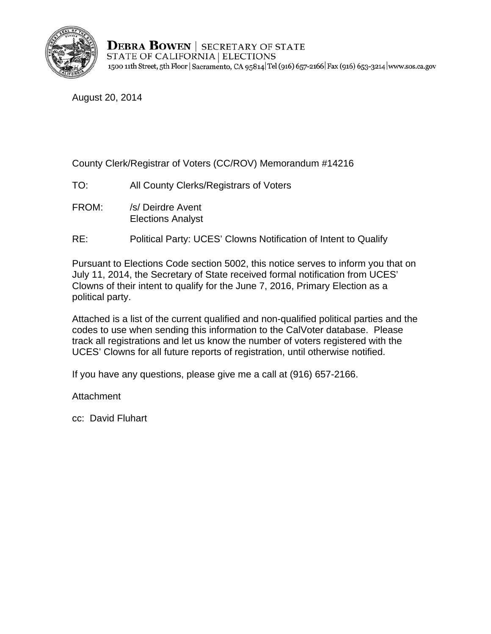

**DEBRA BOWEN** | SECRETARY OF STATE STATE OF CALIFORNIA | ELECTIONS 1500 11th Street, 5th Floor | Sacramento, CA 95814 Tel (916) 657-2166 | Fax (916) 653-3214 | www.sos.ca.gov

August 20, 2014

County Clerk/Registrar of Voters (CC/ROV) Memorandum #14216

- TO: All County Clerks/Registrars of Voters
- FROM: /s/ Deirdre Avent Elections Analyst
- RE: Political Party: UCES' Clowns Notification of Intent to Qualify

Pursuant to Elections Code section 5002, this notice serves to inform you that on July 11, 2014, the Secretary of State received formal notification from UCES' Clowns of their intent to qualify for the June 7, 2016, Primary Election as a political party.

Attached is a list of the current qualified and non-qualified political parties and the codes to use when sending this information to the CalVoter database. Please track all registrations and let us know the number of voters registered with the UCES' Clowns for all future reports of registration, until otherwise notified.

If you have any questions, please give me a call at (916) 657-2166.

**Attachment** 

cc: David Fluhart